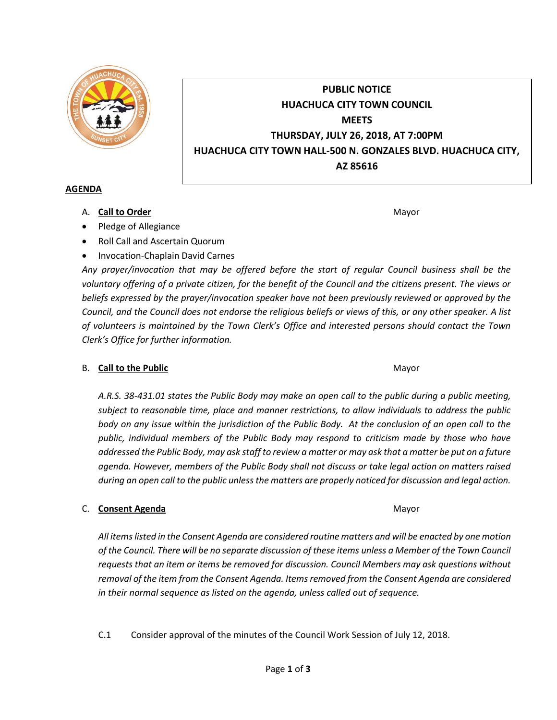

# **PUBLIC NOTICE HUACHUCA CITY TOWN COUNCIL MEETS THURSDAY, JULY 26, 2018, AT 7:00PM HUACHUCA CITY TOWN HALL-500 N. GONZALES BLVD. HUACHUCA CITY, AZ 85616**

#### **AGENDA**

A. **Call to Order** Mayor **Mayor** Mayor **Mayor** Mayor **Mayor** 

- Pledge of Allegiance
- Roll Call and Ascertain Quorum
- Invocation-Chaplain David Carnes

*Any prayer/invocation that may be offered before the start of regular Council business shall be the voluntary offering of a private citizen, for the benefit of the Council and the citizens present. The views or beliefs expressed by the prayer/invocation speaker have not been previously reviewed or approved by the Council, and the Council does not endorse the religious beliefs or views of this, or any other speaker. A list of volunteers is maintained by the Town Clerk's Office and interested persons should contact the Town Clerk's Office for further information.*

## B. **Call to the Public** Mayor **Mayor** Mayor **Mayor**

*A.R.S. 38-431.01 states the Public Body may make an open call to the public during a public meeting, subject to reasonable time, place and manner restrictions, to allow individuals to address the public body on any issue within the jurisdiction of the Public Body. At the conclusion of an open call to the public, individual members of the Public Body may respond to criticism made by those who have addressed the Public Body, may ask staff to review a matter or may ask that a matter be put on a future agenda. However, members of the Public Body shall not discuss or take legal action on matters raised during an open call to the public unless the matters are properly noticed for discussion and legal action.*

## C. **Consent Agenda** Mayor **C. Consent Agenda** Mayor

*All items listed in the Consent Agenda are considered routine matters and will be enacted by one motion of the Council. There will be no separate discussion of these items unless a Member of the Town Council requests that an item or items be removed for discussion. Council Members may ask questions without removal of the item from the Consent Agenda. Items removed from the Consent Agenda are considered in their normal sequence as listed on the agenda, unless called out of sequence.*

C.1 Consider approval of the minutes of the Council Work Session of July 12, 2018.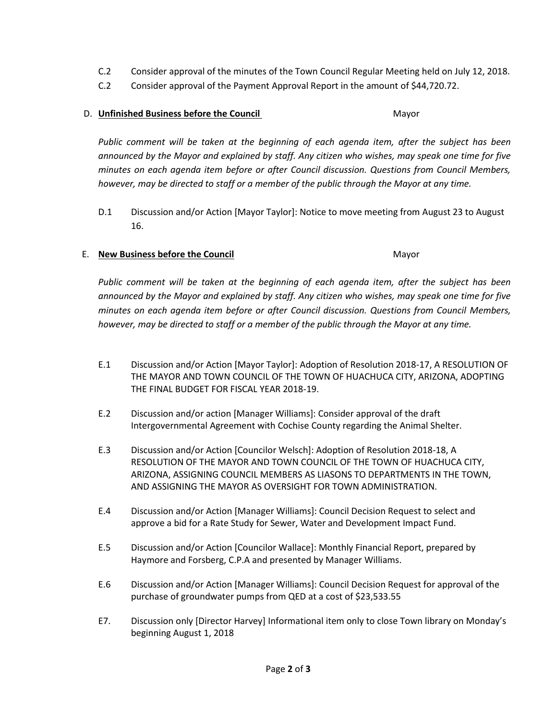- C.2 Consider approval of the minutes of the Town Council Regular Meeting held on July 12, 2018.
- C.2 Consider approval of the Payment Approval Report in the amount of \$44,720.72.

## D. **Unfinished Business before the Council** Mayor

*Public comment will be taken at the beginning of each agenda item, after the subject has been announced by the Mayor and explained by staff. Any citizen who wishes, may speak one time for five minutes on each agenda item before or after Council discussion. Questions from Council Members, however, may be directed to staff or a member of the public through the Mayor at any time.*

D.1 Discussion and/or Action [Mayor Taylor]: Notice to move meeting from August 23 to August 16.

#### E. **New Business before the Council** Mayor

*Public comment will be taken at the beginning of each agenda item, after the subject has been announced by the Mayor and explained by staff. Any citizen who wishes, may speak one time for five minutes on each agenda item before or after Council discussion. Questions from Council Members, however, may be directed to staff or a member of the public through the Mayor at any time.*

- E.1 Discussion and/or Action [Mayor Taylor]: Adoption of Resolution 2018-17, A RESOLUTION OF THE MAYOR AND TOWN COUNCIL OF THE TOWN OF HUACHUCA CITY, ARIZONA, ADOPTING THE FINAL BUDGET FOR FISCAL YEAR 2018-19.
- E.2 Discussion and/or action [Manager Williams]: Consider approval of the draft Intergovernmental Agreement with Cochise County regarding the Animal Shelter.
- E.3 Discussion and/or Action [Councilor Welsch]: Adoption of Resolution 2018-18, A RESOLUTION OF THE MAYOR AND TOWN COUNCIL OF THE TOWN OF HUACHUCA CITY, ARIZONA, ASSIGNING COUNCIL MEMBERS AS LIASONS TO DEPARTMENTS IN THE TOWN, AND ASSIGNING THE MAYOR AS OVERSIGHT FOR TOWN ADMINISTRATION.
- E.4 Discussion and/or Action [Manager Williams]: Council Decision Request to select and approve a bid for a Rate Study for Sewer, Water and Development Impact Fund.
- E.5 Discussion and/or Action [Councilor Wallace]: Monthly Financial Report, prepared by Haymore and Forsberg, C.P.A and presented by Manager Williams.
- E.6 Discussion and/or Action [Manager Williams]: Council Decision Request for approval of the purchase of groundwater pumps from QED at a cost of \$23,533.55
- E7. Discussion only [Director Harvey] Informational item only to close Town library on Monday's beginning August 1, 2018